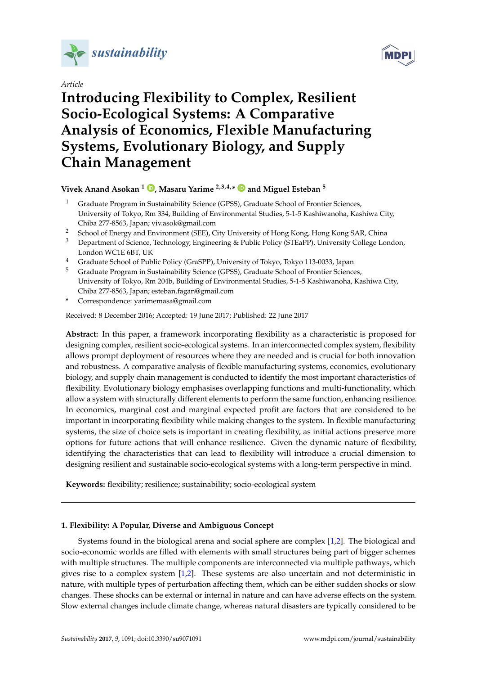

*Article*



# **Introducing Flexibility to Complex, Resilient Socio-Ecological Systems: A Comparative Analysis of Economics, Flexible Manufacturing Systems, Evolutionary Biology, and Supply Chain Management**

# **Vivek Anand Asokan <sup>1</sup> [,](https://orcid.org/0000-0002-1880-9305) Masaru Yarime 2,3,4,\* and Miguel Esteban <sup>5</sup>**

- <sup>1</sup> Graduate Program in Sustainability Science (GPSS), Graduate School of Frontier Sciences, University of Tokyo, Rm 334, Building of Environmental Studies, 5-1-5 Kashiwanoha, Kashiwa City, Chiba 277-8563, Japan; viv.asok@gmail.com
- <sup>2</sup> School of Energy and Environment (SEE), City University of Hong Kong, Hong Kong SAR, China
- <sup>3</sup> Department of Science, Technology, Engineering & Public Policy (STEaPP), University College London, London WC1E 6BT, UK
- <sup>4</sup> Graduate School of Public Policy (GraSPP), University of Tokyo, Tokyo 113-0033, Japan
- <sup>5</sup> Graduate Program in Sustainability Science (GPSS), Graduate School of Frontier Sciences, University of Tokyo, Rm 204b, Building of Environmental Studies, 5-1-5 Kashiwanoha, Kashiwa City, Chiba 277-8563, Japan; esteban.fagan@gmail.com
- **\*** Correspondence: yarimemasa@gmail.com

Received: 8 December 2016; Accepted: 19 June 2017; Published: 22 June 2017

**Abstract:** In this paper, a framework incorporating flexibility as a characteristic is proposed for designing complex, resilient socio-ecological systems. In an interconnected complex system, flexibility allows prompt deployment of resources where they are needed and is crucial for both innovation and robustness. A comparative analysis of flexible manufacturing systems, economics, evolutionary biology, and supply chain management is conducted to identify the most important characteristics of flexibility. Evolutionary biology emphasises overlapping functions and multi-functionality, which allow a system with structurally different elements to perform the same function, enhancing resilience. In economics, marginal cost and marginal expected profit are factors that are considered to be important in incorporating flexibility while making changes to the system. In flexible manufacturing systems, the size of choice sets is important in creating flexibility, as initial actions preserve more options for future actions that will enhance resilience. Given the dynamic nature of flexibility, identifying the characteristics that can lead to flexibility will introduce a crucial dimension to designing resilient and sustainable socio-ecological systems with a long-term perspective in mind.

**Keywords:** flexibility; resilience; sustainability; socio-ecological system

# **1. Flexibility: A Popular, Diverse and Ambiguous Concept**

Systems found in the biological arena and social sphere are complex [\[1](#page-14-0)[,2\]](#page-14-1). The biological and socio-economic worlds are filled with elements with small structures being part of bigger schemes with multiple structures. The multiple components are interconnected via multiple pathways, which gives rise to a complex system [\[1,](#page-14-0)[2\]](#page-14-1). These systems are also uncertain and not deterministic in nature, with multiple types of perturbation affecting them, which can be either sudden shocks or slow changes. These shocks can be external or internal in nature and can have adverse effects on the system. Slow external changes include climate change, whereas natural disasters are typically considered to be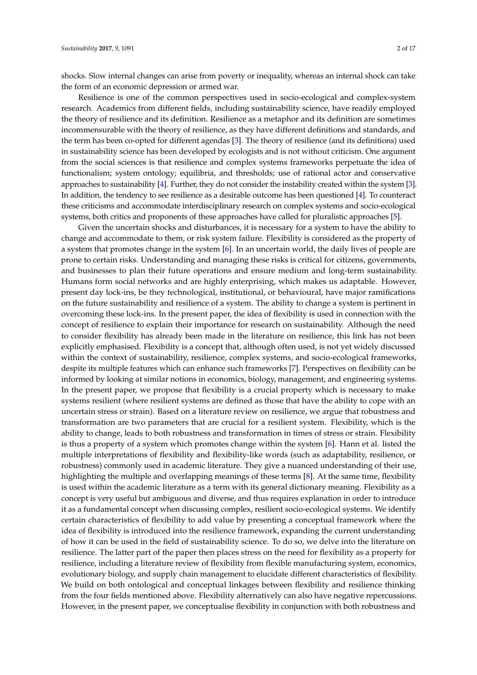shocks. Slow internal changes can arise from poverty or inequality, whereas an internal shock can take the form of an economic depression or armed war.

Resilience is one of the common perspectives used in socio-ecological and complex-system research. Academics from different fields, including sustainability science, have readily employed the theory of resilience and its definition. Resilience as a metaphor and its definition are sometimes incommensurable with the theory of resilience, as they have different definitions and standards, and the term has been co-opted for different agendas [\[3\]](#page-14-2). The theory of resilience (and its definitions) used in sustainability science has been developed by ecologists and is not without criticism. One argument from the social sciences is that resilience and complex systems frameworks perpetuate the idea of functionalism; system ontology; equilibria, and thresholds; use of rational actor and conservative approaches to sustainability [\[4\]](#page-14-3). Further, they do not consider the instability created within the system [\[3\]](#page-14-2). In addition, the tendency to see resilience as a desirable outcome has been questioned [\[4\]](#page-14-3). To counteract these criticisms and accommodate interdisciplinary research on complex systems and socio-ecological systems, both critics and proponents of these approaches have called for pluralistic approaches [\[5\]](#page-14-4).

Given the uncertain shocks and disturbances, it is necessary for a system to have the ability to change and accommodate to them, or risk system failure. Flexibility is considered as the property of a system that promotes change in the system [\[6\]](#page-14-5). In an uncertain world, the daily lives of people are prone to certain risks. Understanding and managing these risks is critical for citizens, governments, and businesses to plan their future operations and ensure medium and long-term sustainability. Humans form social networks and are highly enterprising, which makes us adaptable. However, present day lock-ins, be they technological, institutional, or behavioural, have major ramifications on the future sustainability and resilience of a system. The ability to change a system is pertinent in overcoming these lock-ins. In the present paper, the idea of flexibility is used in connection with the concept of resilience to explain their importance for research on sustainability. Although the need to consider flexibility has already been made in the literature on resilience, this link has not been explicitly emphasised. Flexibility is a concept that, although often used, is not yet widely discussed within the context of sustainability, resilience, complex systems, and socio-ecological frameworks, despite its multiple features which can enhance such frameworks [\[7\]](#page-14-6). Perspectives on flexibility can be informed by looking at similar notions in economics, biology, management, and engineering systems. In the present paper, we propose that flexibility is a crucial property which is necessary to make systems resilient (where resilient systems are defined as those that have the ability to cope with an uncertain stress or strain). Based on a literature review on resilience, we argue that robustness and transformation are two parameters that are crucial for a resilient system. Flexibility, which is the ability to change, leads to both robustness and transformation in times of stress or strain. Flexibility is thus a property of a system which promotes change within the system [\[6\]](#page-14-5). Hann et al. listed the multiple interpretations of flexibility and flexibility-like words (such as adaptability, resilience, or robustness) commonly used in academic literature. They give a nuanced understanding of their use, highlighting the multiple and overlapping meanings of these terms [\[8\]](#page-14-7). At the same time, flexibility is used within the academic literature as a term with its general dictionary meaning. Flexibility as a concept is very useful but ambiguous and diverse, and thus requires explanation in order to introduce it as a fundamental concept when discussing complex, resilient socio-ecological systems. We identify certain characteristics of flexibility to add value by presenting a conceptual framework where the idea of flexibility is introduced into the resilience framework, expanding the current understanding of how it can be used in the field of sustainability science. To do so, we delve into the literature on resilience. The latter part of the paper then places stress on the need for flexibility as a property for resilience, including a literature review of flexibility from flexible manufacturing system, economics, evolutionary biology, and supply chain management to elucidate different characteristics of flexibility. We build on both ontological and conceptual linkages between flexibility and resilience thinking from the four fields mentioned above. Flexibility alternatively can also have negative repercussions. However, in the present paper, we conceptualise flexibility in conjunction with both robustness and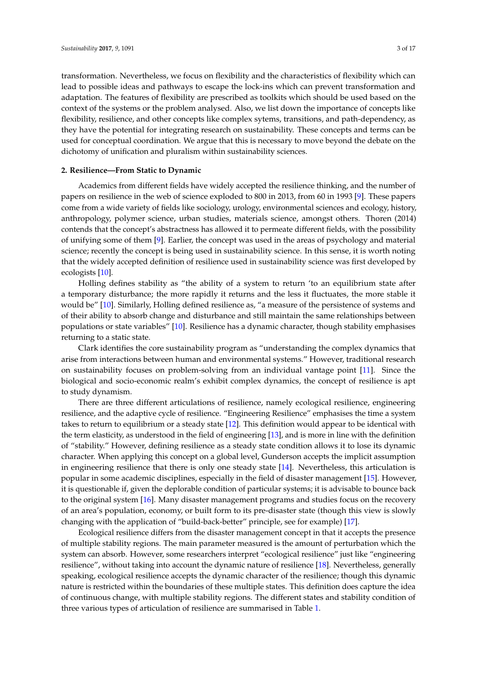transformation. Nevertheless, we focus on flexibility and the characteristics of flexibility which can

lead to possible ideas and pathways to escape the lock-ins which can prevent transformation and adaptation. The features of flexibility are prescribed as toolkits which should be used based on the context of the systems or the problem analysed. Also, we list down the importance of concepts like flexibility, resilience, and other concepts like complex sytems, transitions, and path-dependency, as they have the potential for integrating research on sustainability. These concepts and terms can be used for conceptual coordination. We argue that this is necessary to move beyond the debate on the dichotomy of unification and pluralism within sustainability sciences.

## **2. Resilience—From Static to Dynamic**

Academics from different fields have widely accepted the resilience thinking, and the number of papers on resilience in the web of science exploded to 800 in 2013, from 60 in 1993 [\[9\]](#page-14-8). These papers come from a wide variety of fields like sociology, urology, environmental sciences and ecology, history, anthropology, polymer science, urban studies, materials science, amongst others. Thoren (2014) contends that the concept's abstractness has allowed it to permeate different fields, with the possibility of unifying some of them [\[9\]](#page-14-8). Earlier, the concept was used in the areas of psychology and material science; recently the concept is being used in sustainability science. In this sense, it is worth noting that the widely accepted definition of resilience used in sustainability science was first developed by ecologists [\[10\]](#page-14-9).

Holling defines stability as "the ability of a system to return 'to an equilibrium state after a temporary disturbance; the more rapidly it returns and the less it fluctuates, the more stable it would be" [\[10\]](#page-14-9). Similarly, Holling defined resilience as, "a measure of the persistence of systems and of their ability to absorb change and disturbance and still maintain the same relationships between populations or state variables" [\[10\]](#page-14-9). Resilience has a dynamic character, though stability emphasises returning to a static state.

Clark identifies the core sustainability program as "understanding the complex dynamics that arise from interactions between human and environmental systems." However, traditional research on sustainability focuses on problem-solving from an individual vantage point [\[11\]](#page-14-10). Since the biological and socio-economic realm's exhibit complex dynamics, the concept of resilience is apt to study dynamism.

There are three different articulations of resilience, namely ecological resilience, engineering resilience, and the adaptive cycle of resilience. "Engineering Resilience" emphasises the time a system takes to return to equilibrium or a steady state [\[12\]](#page-14-11). This definition would appear to be identical with the term elasticity, as understood in the field of engineering [\[13\]](#page-14-12), and is more in line with the definition of "stability." However, defining resilience as a steady state condition allows it to lose its dynamic character. When applying this concept on a global level, Gunderson accepts the implicit assumption in engineering resilience that there is only one steady state [\[14\]](#page-14-13). Nevertheless, this articulation is popular in some academic disciplines, especially in the field of disaster management [\[15\]](#page-14-14). However, it is questionable if, given the deplorable condition of particular systems; it is advisable to bounce back to the original system [\[16\]](#page-14-15). Many disaster management programs and studies focus on the recovery of an area's population, economy, or built form to its pre-disaster state (though this view is slowly changing with the application of "build-back-better" principle, see for example) [\[17\]](#page-14-16).

Ecological resilience differs from the disaster management concept in that it accepts the presence of multiple stability regions. The main parameter measured is the amount of perturbation which the system can absorb. However, some researchers interpret "ecological resilience" just like "engineering resilience", without taking into account the dynamic nature of resilience [\[18\]](#page-14-17). Nevertheless, generally speaking, ecological resilience accepts the dynamic character of the resilience; though this dynamic nature is restricted within the boundaries of these multiple states. This definition does capture the idea of continuous change, with multiple stability regions. The different states and stability condition of three various types of articulation of resilience are summarised in Table [1.](#page-3-0)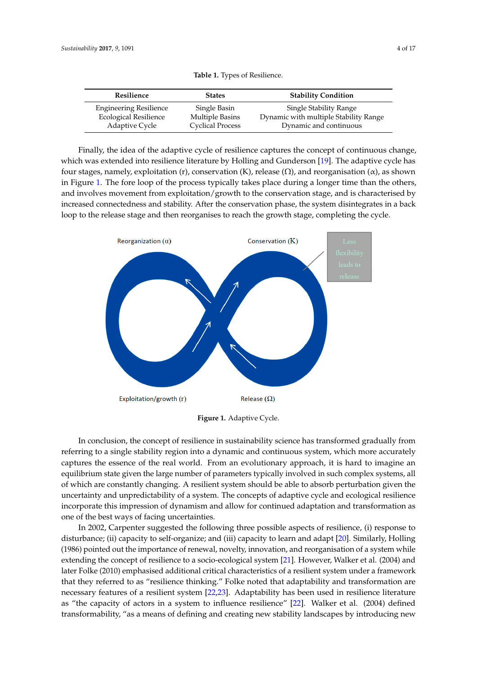<span id="page-3-0"></span>

| Resilience                    | <b>States</b>           | <b>Stability Condition</b>            |
|-------------------------------|-------------------------|---------------------------------------|
| <b>Engineering Resilience</b> | Single Basin            | Single Stability Range                |
| <b>Ecological Resilience</b>  | Multiple Basins         | Dynamic with multiple Stability Range |
| Adaptive Cycle                | <b>Cyclical Process</b> | Dynamic and continuous                |

**Table 1.** Types of Resilience. **Table 1.** Types of Resilience.

Finally, the idea of the adaptive cycle of resilience captures the concept of continuous change, which was extended into resilience literature by Holling and Gunderson [\[19\]](#page-14-18). The adaptive cycle has which was extended into resilience literature by Holling and Gunderson [19]. The adaptive cycle has four stages, namely, exploitation (r), conservation (K), release  $(\Omega)$ , and reorganisation  $(\alpha)$ , as shown in Figure 1. The process typically takes place the process to the process to the process the process to the proces in Figure [1.](#page-3-1) The fore loop of the process typically takes place during a longer time than the others, and involves movement from exploitation/growth to the conservation stage, and is characterised by and involves movement from exploitation/growth to the conservation stage, and is characterised by increased connectedness and stability. After the conservation phase, the system disintegrates in a back located and stability. After the conservation phase, the system disintegrates in a back loop to the release stage and then reorganises to reach the growth stage, completing the cycle.

<span id="page-3-1"></span>

**Figure 1.** Adaptive Cycle. **Figure 1.** Adaptive Cycle.

In conclusion, the concept of resilience in sustainability science has transformed gradually from In conclusion, the concept of resilience in sustainability science has transformed gradually from referring to a single stability region into a dynamic and continuous system, which more accurately referring to a single stability region into a dynamic and continuous system, which more accurately captures the essence of the real world. From an evolutionary approach, it is hard to imagine an captures the essence of the real world. From an evolutionary approach, it is hard to imagine an equilibrium state given the large number of parameters typically involved in such complex systems, equilibrium state given the large number of parameters typically involved in such complex systems, all of which are constantly changing. A resilient system should be able to absorb perturbation given the uncertainty and unpredictability of a system. The concepts of adaptive cycle and ecological resilience incorporate this impression of dynamism and allow for continued adaptation and transformation as one of the best ways of facing uncertainties.

In 2002, Carpenter suggested the following three possible aspects of resilience, (i) response to In 2002, Carpenter suggested the following three possible aspects of resilience, (i) response to disturbance; (ii) capacity to self-organize; and (iii) capacity to learn and adapt [20]. Similarly, disturbance; (ii) capacity to self-organize; and (iii) capacity to learn and adapt [\[20\]](#page-14-19). Similarly, Holling (1986) pointed out the importance of renewal, novelty, innovation, and reorganisation of a system while extending the concept of resilience to a socio-ecological system [\[21\]](#page-14-20). However, Walker et al. (2004) and later Folke (2010) emphasised additional critical characteristics of a resilient system under a framework that they referred to as "resilience thinking." Folke noted that adaptability and transformation are necessary features of a resilient system [\[22](#page-14-21)[,23\]](#page-14-22). Adaptability has been used in resilience literature as "the capacity of actors in a system to influence resilience" [\[22\]](#page-14-21). Walker et al. (2004) defined transformability, "as a means of defining and creating new stability landscapes by introducing new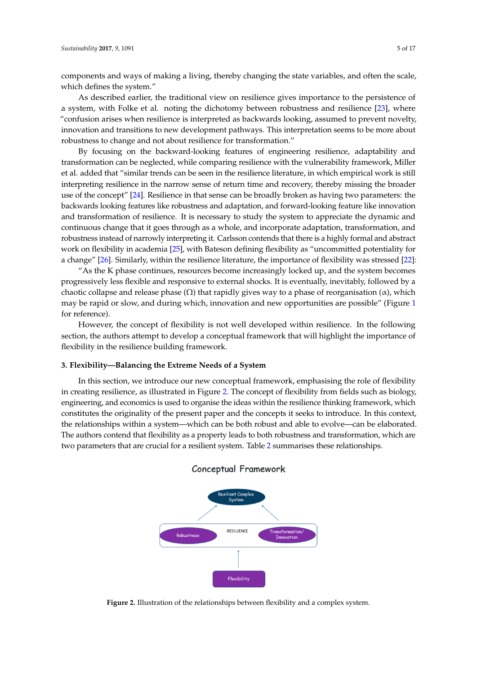components and ways of making a living, thereby changing the state variables, and often the scale,<br>which defines the system." which defines the system."

As described earlier, the traditional view on resilience gives importance to the persistence of a system, with Folke et al. noting the dichotomy between robustness and resilience [\[23\]](#page-14-22), where " $\alpha$  confusion arises when resilience is interpreted as backwards looking, assumed to prevent novelty, innovation and transitions to new development pathways. This interpretation seems to be more about robustness to change and not about resilience for transformation."

By focusing on the backward-looking features of engineering resilience, adaptability and transformation can be neglected, while comparing resilience with the vulnerability framework, Miller et al. added that "similar trends can be seen in the resilience literature, in which empirical work is still interpreting resilience in the narrow sense of return time and recovery, thereby missing the broader use of the concept" [\[24\]](#page-15-0). Resilience in that sense can be broadly broken as having two parameters: the backwards looking features like robustness and adaptation, and forward-looking feature like innovation and transformation of resilience. It is necessary to study the system to appreciate the dynamic and continuous change that it goes through as a whole, and incorporate adaptation, transformation, and robustness instead of narrowly interpreting it. Carlsson contends that there is a highly formal and abstract work on flexibility in academia [25], with Bateson defining flexibility as "uncommitted potentiality for

a change" [26]. Similarly, within the resilience literature, the importance of flexibility was stressed [22]:<br>"As t[he K](#page-15-2) phase continues, resources beco[me](#page-14-21) increasingly locked up, and the system becomes "As the K phase continues, resources become increasingly locked up, and the system becomes progressively less flexible and responsive to external shocks. It is eventually, inevitably, followed by a chaotic collapse and release phase  $(\Omega)$  that rapidly gives way to a phase of reorganisation  $(\alpha)$ , which may be rapid or slow, and during which, innovation and new opportunities are possible" (Figure [1](#page-3-1) for reference).  $H$  ference). The concept of flexibility is not well developed with resilience. In the following  $\alpha$ 

However, the concept of flexibility is not well developed within resilience. In the following section, the authors attempt to develop a conceptual framework that will highlight the importance of flexibility in the resilience building framework.

#### **3. Flexibility—Balancing the Extreme Needs of a System**  $\mathcal{I}$  section, we introduce our new conceptual framework, emphasising the role of flexibility the role of flexibility the role of flexibility the role of flexibility the role of flexibility the role of flexibility the

<span id="page-4-0"></span>In this section, we introduce our new conceptual framework, emphasising the role of flexibility in creating resilience, as illustrated in Figure 2. The concept of flexibility from fields such as biology, engineering, and economics is used to organise the ideas within the resilience thinking framework, which constitutes the originality of the present paper and the concepts it seeks to introduce. In this context, the relationships within a system—which can be both robust and able to evolve—can be elaborated. The authors contend that flexibility as a property leads to both robustness and transformation, which are two parameters that are crucial for a resilient system. Table [2](#page-5-0) summarises these relationships. these relationships.



# Conceptual Framework

**Figure 2.** Illustration of the relationships between flexibility and a complex system. **Figure 2.** Illustration of the relationships between flexibility and a complex system.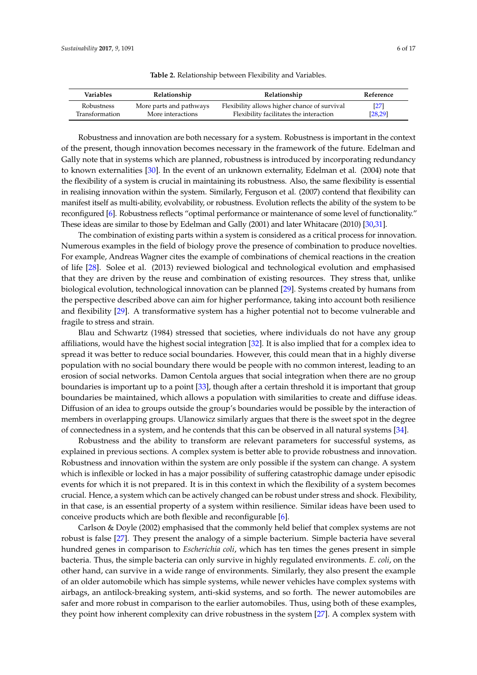<span id="page-5-0"></span>

| Variables      | Relationship            | Relationship                                 | Reference |
|----------------|-------------------------|----------------------------------------------|-----------|
| Robustness     | More parts and pathways | Flexibility allows higher chance of survival | [27]      |
| Transformation | More interactions       | Flexibility facilitates the interaction      | [28, 29]  |

**Table 2.** Relationship between Flexibility and Variables.

Robustness and innovation are both necessary for a system. Robustness is important in the context of the present, though innovation becomes necessary in the framework of the future. Edelman and Gally note that in systems which are planned, robustness is introduced by incorporating redundancy to known externalities [\[30\]](#page-15-6). In the event of an unknown externality, Edelman et al. (2004) note that the flexibility of a system is crucial in maintaining its robustness. Also, the same flexibility is essential in realising innovation within the system. Similarly, Ferguson et al. (2007) contend that flexibility can manifest itself as multi-ability, evolvability, or robustness. Evolution reflects the ability of the system to be reconfigured [\[6\]](#page-14-5). Robustness reflects "optimal performance or maintenance of some level of functionality." These ideas are similar to those by Edelman and Gally (2001) and later Whitacare (2010) [\[30](#page-15-6)[,31\]](#page-15-7).

The combination of existing parts within a system is considered as a critical process for innovation. Numerous examples in the field of biology prove the presence of combination to produce novelties. For example, Andreas Wagner cites the example of combinations of chemical reactions in the creation of life [\[28\]](#page-15-4). Solee et al. (2013) reviewed biological and technological evolution and emphasised that they are driven by the reuse and combination of existing resources. They stress that, unlike biological evolution, technological innovation can be planned [\[29\]](#page-15-5). Systems created by humans from the perspective described above can aim for higher performance, taking into account both resilience and flexibility [\[29\]](#page-15-5). A transformative system has a higher potential not to become vulnerable and fragile to stress and strain.

Blau and Schwartz (1984) stressed that societies, where individuals do not have any group affiliations, would have the highest social integration [\[32\]](#page-15-8). It is also implied that for a complex idea to spread it was better to reduce social boundaries. However, this could mean that in a highly diverse population with no social boundary there would be people with no common interest, leading to an erosion of social networks. Damon Centola argues that social integration when there are no group boundaries is important up to a point [\[33\]](#page-15-9), though after a certain threshold it is important that group boundaries be maintained, which allows a population with similarities to create and diffuse ideas. Diffusion of an idea to groups outside the group's boundaries would be possible by the interaction of members in overlapping groups. Ulanowicz similarly argues that there is the sweet spot in the degree of connectedness in a system, and he contends that this can be observed in all natural systems [\[34\]](#page-15-10).

Robustness and the ability to transform are relevant parameters for successful systems, as explained in previous sections. A complex system is better able to provide robustness and innovation. Robustness and innovation within the system are only possible if the system can change. A system which is inflexible or locked in has a major possibility of suffering catastrophic damage under episodic events for which it is not prepared. It is in this context in which the flexibility of a system becomes crucial. Hence, a system which can be actively changed can be robust under stress and shock. Flexibility, in that case, is an essential property of a system within resilience. Similar ideas have been used to conceive products which are both flexible and reconfigurable [\[6\]](#page-14-5).

Carlson & Doyle (2002) emphasised that the commonly held belief that complex systems are not robust is false [\[27\]](#page-15-3). They present the analogy of a simple bacterium. Simple bacteria have several hundred genes in comparison to *Escherichia coli*, which has ten times the genes present in simple bacteria. Thus, the simple bacteria can only survive in highly regulated environments. *E. coli*, on the other hand, can survive in a wide range of environments. Similarly, they also present the example of an older automobile which has simple systems, while newer vehicles have complex systems with airbags, an antilock-breaking system, anti-skid systems, and so forth. The newer automobiles are safer and more robust in comparison to the earlier automobiles. Thus, using both of these examples, they point how inherent complexity can drive robustness in the system [\[27\]](#page-15-3). A complex system with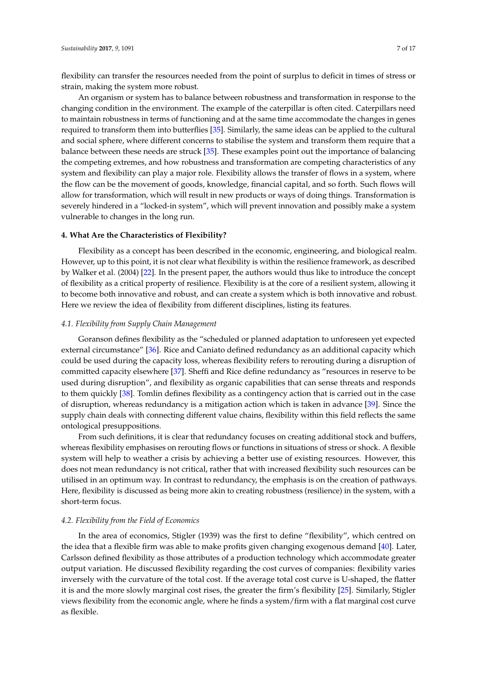flexibility can transfer the resources needed from the point of surplus to deficit in times of stress or strain, making the system more robust.

An organism or system has to balance between robustness and transformation in response to the changing condition in the environment. The example of the caterpillar is often cited. Caterpillars need to maintain robustness in terms of functioning and at the same time accommodate the changes in genes required to transform them into butterflies [\[35\]](#page-15-11). Similarly, the same ideas can be applied to the cultural and social sphere, where different concerns to stabilise the system and transform them require that a balance between these needs are struck [\[35\]](#page-15-11). These examples point out the importance of balancing the competing extremes, and how robustness and transformation are competing characteristics of any system and flexibility can play a major role. Flexibility allows the transfer of flows in a system, where the flow can be the movement of goods, knowledge, financial capital, and so forth. Such flows will allow for transformation, which will result in new products or ways of doing things. Transformation is severely hindered in a "locked-in system", which will prevent innovation and possibly make a system vulnerable to changes in the long run.

# **4. What Are the Characteristics of Flexibility?**

Flexibility as a concept has been described in the economic, engineering, and biological realm. However, up to this point, it is not clear what flexibility is within the resilience framework, as described by Walker et al. (2004) [\[22\]](#page-14-21). In the present paper, the authors would thus like to introduce the concept of flexibility as a critical property of resilience. Flexibility is at the core of a resilient system, allowing it to become both innovative and robust, and can create a system which is both innovative and robust. Here we review the idea of flexibility from different disciplines, listing its features.

#### *4.1. Flexibility from Supply Chain Management*

Goranson defines flexibility as the "scheduled or planned adaptation to unforeseen yet expected external circumstance" [\[36\]](#page-15-12). Rice and Caniato defined redundancy as an additional capacity which could be used during the capacity loss, whereas flexibility refers to rerouting during a disruption of committed capacity elsewhere [\[37\]](#page-15-13). Sheffi and Rice define redundancy as "resources in reserve to be used during disruption", and flexibility as organic capabilities that can sense threats and responds to them quickly [\[38\]](#page-15-14). Tomlin defines flexibility as a contingency action that is carried out in the case of disruption, whereas redundancy is a mitigation action which is taken in advance [\[39\]](#page-15-15). Since the supply chain deals with connecting different value chains, flexibility within this field reflects the same ontological presuppositions.

From such definitions, it is clear that redundancy focuses on creating additional stock and buffers, whereas flexibility emphasises on rerouting flows or functions in situations of stress or shock. A flexible system will help to weather a crisis by achieving a better use of existing resources. However, this does not mean redundancy is not critical, rather that with increased flexibility such resources can be utilised in an optimum way. In contrast to redundancy, the emphasis is on the creation of pathways. Here, flexibility is discussed as being more akin to creating robustness (resilience) in the system, with a short-term focus.

#### *4.2. Flexibility from the Field of Economics*

In the area of economics, Stigler (1939) was the first to define "flexibility", which centred on the idea that a flexible firm was able to make profits given changing exogenous demand [\[40\]](#page-15-16). Later, Carlsson defined flexibility as those attributes of a production technology which accommodate greater output variation. He discussed flexibility regarding the cost curves of companies: flexibility varies inversely with the curvature of the total cost. If the average total cost curve is U-shaped, the flatter it is and the more slowly marginal cost rises, the greater the firm's flexibility [\[25\]](#page-15-1). Similarly, Stigler views flexibility from the economic angle, where he finds a system/firm with a flat marginal cost curve as flexible.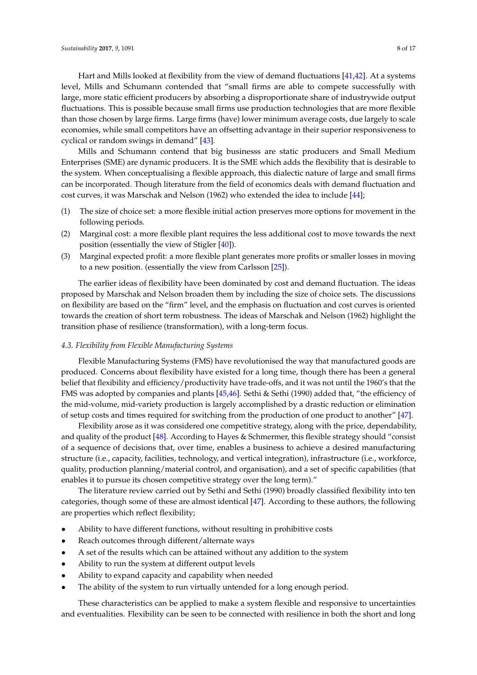Hart and Mills looked at flexibility from the view of demand fluctuations [\[41](#page-15-17)[,42\]](#page-15-18). At a systems level, Mills and Schumann contended that "small firms are able to compete successfully with large, more static efficient producers by absorbing a disproportionate share of industrywide output fluctuations. This is possible because small firms use production technologies that are more flexible than those chosen by large firms. Large firms (have) lower minimum average costs, due largely to scale economies, while small competitors have an offsetting advantage in their superior responsiveness to cyclical or random swings in demand" [\[43\]](#page-15-19).

Mills and Schumann contend that big businesss are static producers and Small Medium Enterprises (SME) are dynamic producers. It is the SME which adds the flexibility that is desirable to the system. When conceptualising a flexible approach, this dialectic nature of large and small firms can be incorporated. Though literature from the field of economics deals with demand fluctuation and cost curves, it was Marschak and Nelson (1962) who extended the idea to include [\[44\]](#page-15-20);

- (1) The size of choice set: a more flexible initial action preserves more options for movement in the following periods.
- (2) Marginal cost: a more flexible plant requires the less additional cost to move towards the next position (essentially the view of Stigler [\[40\]](#page-15-16)).
- (3) Marginal expected profit: a more flexible plant generates more profits or smaller losses in moving to a new position. (essentially the view from Carlsson [\[25\]](#page-15-1)).

The earlier ideas of flexibility have been dominated by cost and demand fluctuation. The ideas proposed by Marschak and Nelson broaden them by including the size of choice sets. The discussions on flexibility are based on the "firm" level, and the emphasis on fluctuation and cost curves is oriented towards the creation of short term robustness. The ideas of Marschak and Nelson (1962) highlight the transition phase of resilience (transformation), with a long-term focus.

# *4.3. Flexibility from Flexible Manufacturing Systems*

Flexible Manufacturing Systems (FMS) have revolutionised the way that manufactured goods are produced. Concerns about flexibility have existed for a long time, though there has been a general belief that flexibility and efficiency/productivity have trade-offs, and it was not until the 1960's that the FMS was adopted by companies and plants [\[45,](#page-15-21)[46\]](#page-15-22). Sethi & Sethi (1990) added that, "the efficiency of the mid-volume, mid-variety production is largely accomplished by a drastic reduction or elimination of setup costs and times required for switching from the production of one product to another" [\[47\]](#page-15-23).

Flexibility arose as it was considered one competitive strategy, along with the price, dependability, and quality of the product [\[48\]](#page-15-24). According to Hayes & Schmermer, this flexible strategy should "consist of a sequence of decisions that, over time, enables a business to achieve a desired manufacturing structure (i.e., capacity, facilities, technology, and vertical integration), infrastructure (i.e., workforce, quality, production planning/material control, and organisation), and a set of specific capabilities (that enables it to pursue its chosen competitive strategy over the long term)."

The literature review carried out by Sethi and Sethi (1990) broadly classified flexibility into ten categories, though some of these are almost identical [\[47\]](#page-15-23). According to these authors, the following are properties which reflect flexibility;

- Ability to have different functions, without resulting in prohibitive costs
- Reach outcomes through different/alternate ways
- A set of the results which can be attained without any addition to the system
- Ability to run the system at different output levels
- Ability to expand capacity and capability when needed
- The ability of the system to run virtually untended for a long enough period.

These characteristics can be applied to make a system flexible and responsive to uncertainties and eventualities. Flexibility can be seen to be connected with resilience in both the short and long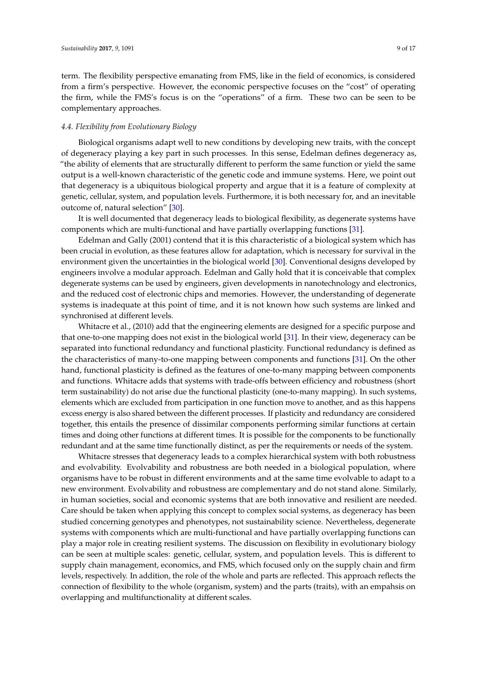term. The flexibility perspective emanating from FMS, like in the field of economics, is considered from a firm's perspective. However, the economic perspective focuses on the "cost" of operating the firm, while the FMS's focus is on the "operations" of a firm. These two can be seen to be complementary approaches.

# *4.4. Flexibility from Evolutionary Biology*

Biological organisms adapt well to new conditions by developing new traits, with the concept of degeneracy playing a key part in such processes. In this sense, Edelman defines degeneracy as, "the ability of elements that are structurally different to perform the same function or yield the same output is a well-known characteristic of the genetic code and immune systems. Here, we point out that degeneracy is a ubiquitous biological property and argue that it is a feature of complexity at genetic, cellular, system, and population levels. Furthermore, it is both necessary for, and an inevitable outcome of, natural selection" [\[30\]](#page-15-6).

It is well documented that degeneracy leads to biological flexibility, as degenerate systems have components which are multi-functional and have partially overlapping functions [\[31\]](#page-15-7).

Edelman and Gally (2001) contend that it is this characteristic of a biological system which has been crucial in evolution, as these features allow for adaptation, which is necessary for survival in the environment given the uncertainties in the biological world [\[30\]](#page-15-6). Conventional designs developed by engineers involve a modular approach. Edelman and Gally hold that it is conceivable that complex degenerate systems can be used by engineers, given developments in nanotechnology and electronics, and the reduced cost of electronic chips and memories. However, the understanding of degenerate systems is inadequate at this point of time, and it is not known how such systems are linked and synchronised at different levels.

Whitacre et al., (2010) add that the engineering elements are designed for a specific purpose and that one-to-one mapping does not exist in the biological world [\[31\]](#page-15-7). In their view, degeneracy can be separated into functional redundancy and functional plasticity. Functional redundancy is defined as the characteristics of many-to-one mapping between components and functions [\[31\]](#page-15-7). On the other hand, functional plasticity is defined as the features of one-to-many mapping between components and functions. Whitacre adds that systems with trade-offs between efficiency and robustness (short term sustainability) do not arise due the functional plasticity (one-to-many mapping). In such systems, elements which are excluded from participation in one function move to another, and as this happens excess energy is also shared between the different processes. If plasticity and redundancy are considered together, this entails the presence of dissimilar components performing similar functions at certain times and doing other functions at different times. It is possible for the components to be functionally redundant and at the same time functionally distinct, as per the requirements or needs of the system.

Whitacre stresses that degeneracy leads to a complex hierarchical system with both robustness and evolvability. Evolvability and robustness are both needed in a biological population, where organisms have to be robust in different environments and at the same time evolvable to adapt to a new environment. Evolvability and robustness are complementary and do not stand alone. Similarly, in human societies, social and economic systems that are both innovative and resilient are needed. Care should be taken when applying this concept to complex social systems, as degeneracy has been studied concerning genotypes and phenotypes, not sustainability science. Nevertheless, degenerate systems with components which are multi-functional and have partially overlapping functions can play a major role in creating resilient systems. The discussion on flexibility in evolutionary biology can be seen at multiple scales: genetic, cellular, system, and population levels. This is different to supply chain management, economics, and FMS, which focused only on the supply chain and firm levels, respectively. In addition, the role of the whole and parts are reflected. This approach reflects the connection of flexibility to the whole (organism, system) and the parts (traits), with an empahsis on overlapping and multifunctionality at different scales.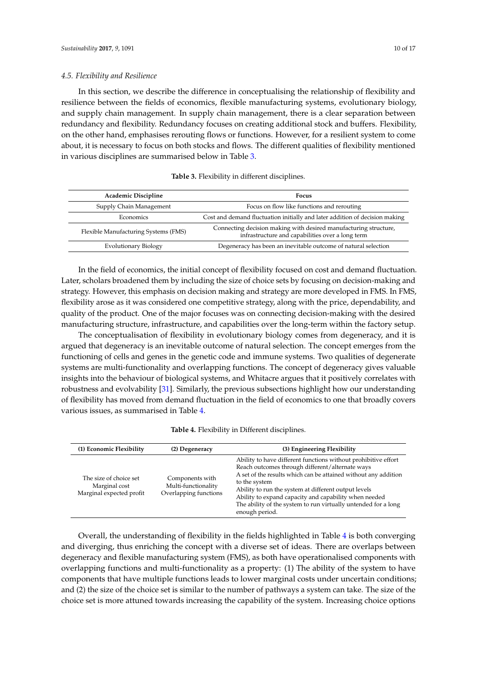In this section, we describe the difference in conceptualising the relationship of flexibility and resilience between the fields of economics, flexible manufacturing systems, evolutionary biology, and supply chain management. In supply chain management, there is a clear separation between redundancy and flexibility. Redundancy focuses on creating additional stock and buffers. Flexibility, on the other hand, emphasises rerouting flows or functions. However, for a resilient system to come about, it is necessary to focus on both stocks and flows. The different qualities of flexibility mentioned in various disciplines are summarised below in Table [3.](#page-9-0)

| <b>Table 3.</b> Flexibility in different disciplines. |  |  |  |  |
|-------------------------------------------------------|--|--|--|--|
|-------------------------------------------------------|--|--|--|--|

<span id="page-9-0"></span>

| <b>Academic Discipline</b>           | Focus                                                                                                                |
|--------------------------------------|----------------------------------------------------------------------------------------------------------------------|
| Supply Chain Management              | Focus on flow like functions and rerouting                                                                           |
| Economics                            | Cost and demand fluctuation initially and later addition of decision making                                          |
| Flexible Manufacturing Systems (FMS) | Connecting decision making with desired manufacturing structure,<br>infrastructure and capabilities over a long term |
| Evolutionary Biology                 | Degeneracy has been an inevitable outcome of natural selection                                                       |

In the field of economics, the initial concept of flexibility focused on cost and demand fluctuation. Later, scholars broadened them by including the size of choice sets by focusing on decision-making and strategy. However, this emphasis on decision making and strategy are more developed in FMS. In FMS, flexibility arose as it was considered one competitive strategy, along with the price, dependability, and quality of the product. One of the major focuses was on connecting decision-making with the desired manufacturing structure, infrastructure, and capabilities over the long-term within the factory setup.

The conceptualisation of flexibility in evolutionary biology comes from degeneracy, and it is argued that degeneracy is an inevitable outcome of natural selection. The concept emerges from the functioning of cells and genes in the genetic code and immune systems. Two qualities of degenerate systems are multi-functionality and overlapping functions. The concept of degeneracy gives valuable insights into the behaviour of biological systems, and Whitacre argues that it positively correlates with robustness and evolvability [\[31\]](#page-15-7). Similarly, the previous subsections highlight how our understanding of flexibility has moved from demand fluctuation in the field of economics to one that broadly covers various issues, as summarised in Table [4.](#page-9-1)

|  | <b>Table 4.</b> Flexibility in Different disciplines. |  |  |  |  |
|--|-------------------------------------------------------|--|--|--|--|
|--|-------------------------------------------------------|--|--|--|--|

<span id="page-9-1"></span>

| (1) Economic Flexibility                                            | (2) Degeneracy                                                  | (3) Engineering Flexibility                                                                                                                                                                                                                                                                                                                                                                                |
|---------------------------------------------------------------------|-----------------------------------------------------------------|------------------------------------------------------------------------------------------------------------------------------------------------------------------------------------------------------------------------------------------------------------------------------------------------------------------------------------------------------------------------------------------------------------|
| The size of choice set<br>Marginal cost<br>Marginal expected profit | Components with<br>Multi-functionality<br>Overlapping functions | Ability to have different functions without prohibitive effort<br>Reach outcomes through different/alternate ways<br>A set of the results which can be attained without any addition<br>to the system<br>Ability to run the system at different output levels<br>Ability to expand capacity and capability when needed<br>The ability of the system to run virtually untended for a long<br>enough period. |

Overall, the understanding of flexibility in the fields highlighted in Table [4](#page-9-1) is both converging and diverging, thus enriching the concept with a diverse set of ideas. There are overlaps between degeneracy and flexible manufacturing system (FMS), as both have operationalised components with overlapping functions and multi-functionality as a property: (1) The ability of the system to have components that have multiple functions leads to lower marginal costs under uncertain conditions; and (2) the size of the choice set is similar to the number of pathways a system can take. The size of the choice set is more attuned towards increasing the capability of the system. Increasing choice options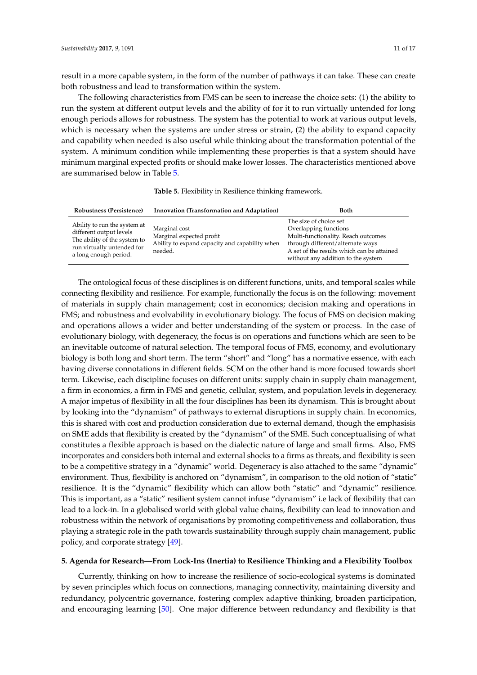result in a more capable system, in the form of the number of pathways it can take. These can create both robustness and lead to transformation within the system.

The following characteristics from FMS can be seen to increase the choice sets: (1) the ability to run the system at different output levels and the ability of for it to run virtually untended for long enough periods allows for robustness. The system has the potential to work at various output levels, which is necessary when the systems are under stress or strain, (2) the ability to expand capacity and capability when needed is also useful while thinking about the transformation potential of the system. A minimum condition while implementing these properties is that a system should have minimum marginal expected profits or should make lower losses. The characteristics mentioned above are summarised below in Table [5.](#page-10-0)

|  |  |  |  |  | Table 5. Flexibility in Resilience thinking framework. |
|--|--|--|--|--|--------------------------------------------------------|
|--|--|--|--|--|--------------------------------------------------------|

<span id="page-10-0"></span>

| Robustness (Persistence)                                                                                                                       | Innovation (Transformation and Adaptation)                                                             | <b>Both</b>                                                                                                                                                                                                    |
|------------------------------------------------------------------------------------------------------------------------------------------------|--------------------------------------------------------------------------------------------------------|----------------------------------------------------------------------------------------------------------------------------------------------------------------------------------------------------------------|
| Ability to run the system at<br>different output levels<br>The ability of the system to<br>run virtually untended for<br>a long enough period. | Marginal cost<br>Marginal expected profit<br>Ability to expand capacity and capability when<br>needed. | The size of choice set<br>Overlapping functions<br>Multi-functionality. Reach outcomes<br>through different/alternate ways<br>A set of the results which can be attained<br>without any addition to the system |

The ontological focus of these disciplines is on different functions, units, and temporal scales while connecting flexibility and resilience. For example, functionally the focus is on the following: movement of materials in supply chain management; cost in economics; decision making and operations in FMS; and robustness and evolvability in evolutionary biology. The focus of FMS on decision making and operations allows a wider and better understanding of the system or process. In the case of evolutionary biology, with degeneracy, the focus is on operations and functions which are seen to be an inevitable outcome of natural selection. The temporal focus of FMS, economy, and evolutionary biology is both long and short term. The term "short" and "long" has a normative essence, with each having diverse connotations in different fields. SCM on the other hand is more focused towards short term. Likewise, each discipline focuses on different units: supply chain in supply chain management, a firm in economics, a firm in FMS and genetic, cellular, system, and population levels in degeneracy. A major impetus of flexibility in all the four disciplines has been its dynamism. This is brought about by looking into the "dynamism" of pathways to external disruptions in supply chain. In economics, this is shared with cost and production consideration due to external demand, though the emphasisis on SME adds that flexibility is created by the "dynamism" of the SME. Such conceptualising of what constitutes a flexible approach is based on the dialectic nature of large and small firms. Also, FMS incorporates and considers both internal and external shocks to a firms as threats, and flexibility is seen to be a competitive strategy in a "dynamic" world. Degeneracy is also attached to the same "dynamic" environment. Thus, flexibility is anchored on "dynamism", in comparison to the old notion of "static" resilience. It is the "dynamic" flexibility which can allow both "static" and "dynamic" resilience. This is important, as a "static" resilient system cannot infuse "dynamism" i.e lack of flexibility that can lead to a lock-in. In a globalised world with global value chains, flexibility can lead to innovation and robustness within the network of organisations by promoting competitiveness and collaboration, thus playing a strategic role in the path towards sustainability through supply chain management, public policy, and corporate strategy [\[49\]](#page-15-25).

#### **5. Agenda for Research—From Lock-Ins (Inertia) to Resilience Thinking and a Flexibility Toolbox**

Currently, thinking on how to increase the resilience of socio-ecological systems is dominated by seven principles which focus on connections, managing connectivity, maintaining diversity and redundancy, polycentric governance, fostering complex adaptive thinking, broaden participation, and encouraging learning [\[50\]](#page-15-26). One major difference between redundancy and flexibility is that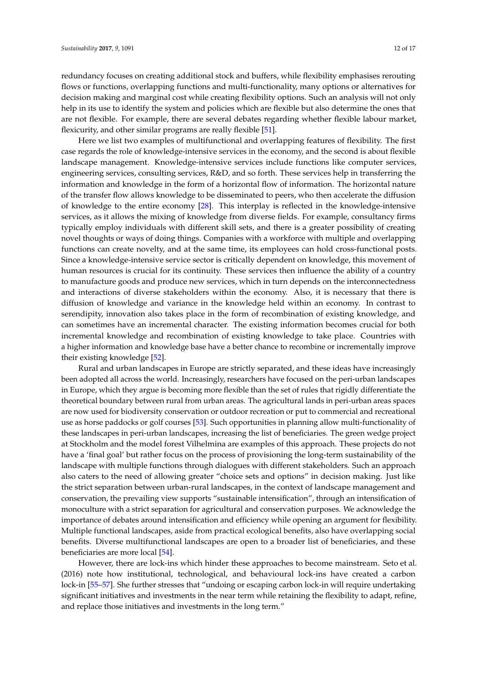redundancy focuses on creating additional stock and buffers, while flexibility emphasises rerouting flows or functions, overlapping functions and multi-functionality, many options or alternatives for decision making and marginal cost while creating flexibility options. Such an analysis will not only help in its use to identify the system and policies which are flexible but also determine the ones that are not flexible. For example, there are several debates regarding whether flexible labour market, flexicurity, and other similar programs are really flexible [\[51\]](#page-15-27).

Here we list two examples of multifunctional and overlapping features of flexibility. The first case regards the role of knowledge-intensive services in the economy, and the second is about flexible landscape management. Knowledge-intensive services include functions like computer services, engineering services, consulting services, R&D, and so forth. These services help in transferring the information and knowledge in the form of a horizontal flow of information. The horizontal nature of the transfer flow allows knowledge to be disseminated to peers, who then accelerate the diffusion of knowledge to the entire economy [\[28\]](#page-15-4). This interplay is reflected in the knowledge-intensive services, as it allows the mixing of knowledge from diverse fields. For example, consultancy firms typically employ individuals with different skill sets, and there is a greater possibility of creating novel thoughts or ways of doing things. Companies with a workforce with multiple and overlapping functions can create novelty, and at the same time, its employees can hold cross-functional posts. Since a knowledge-intensive service sector is critically dependent on knowledge, this movement of human resources is crucial for its continuity. These services then influence the ability of a country to manufacture goods and produce new services, which in turn depends on the interconnectedness and interactions of diverse stakeholders within the economy. Also, it is necessary that there is diffusion of knowledge and variance in the knowledge held within an economy. In contrast to serendipity, innovation also takes place in the form of recombination of existing knowledge, and can sometimes have an incremental character. The existing information becomes crucial for both incremental knowledge and recombination of existing knowledge to take place. Countries with a higher information and knowledge base have a better chance to recombine or incrementally improve their existing knowledge [\[52\]](#page-15-28).

Rural and urban landscapes in Europe are strictly separated, and these ideas have increasingly been adopted all across the world. Increasingly, researchers have focused on the peri-urban landscapes in Europe, which they argue is becoming more flexible than the set of rules that rigidly differentiate the theoretical boundary between rural from urban areas. The agricultural lands in peri-urban areas spaces are now used for biodiversity conservation or outdoor recreation or put to commercial and recreational use as horse paddocks or golf courses [\[53\]](#page-15-29). Such opportunities in planning allow multi-functionality of these landscapes in peri-urban landscapes, increasing the list of beneficiaries. The green wedge project at Stockholm and the model forest Vilhelmina are examples of this approach. These projects do not have a 'final goal' but rather focus on the process of provisioning the long-term sustainability of the landscape with multiple functions through dialogues with different stakeholders. Such an approach also caters to the need of allowing greater "choice sets and options" in decision making. Just like the strict separation between urban-rural landscapes, in the context of landscape management and conservation, the prevailing view supports "sustainable intensification", through an intensification of monoculture with a strict separation for agricultural and conservation purposes. We acknowledge the importance of debates around intensification and efficiency while opening an argument for flexibility. Multiple functional landscapes, aside from practical ecological benefits, also have overlapping social benefits. Diverse multifunctional landscapes are open to a broader list of beneficiaries, and these beneficiaries are more local [\[54\]](#page-16-0).

However, there are lock-ins which hinder these approaches to become mainstream. Seto et al. (2016) note how institutional, technological, and behavioural lock-ins have created a carbon lock-in [\[55–](#page-16-1)[57\]](#page-16-2). She further stresses that "undoing or escaping carbon lock-in will require undertaking significant initiatives and investments in the near term while retaining the flexibility to adapt, refine, and replace those initiatives and investments in the long term."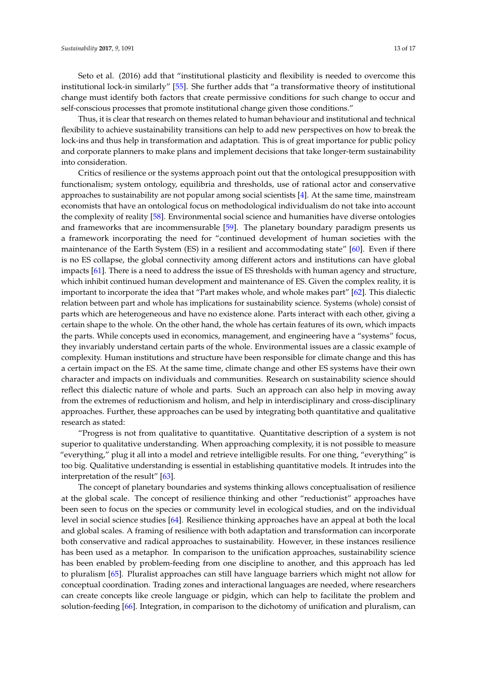Seto et al. (2016) add that "institutional plasticity and flexibility is needed to overcome this institutional lock-in similarly" [\[55\]](#page-16-1). She further adds that "a transformative theory of institutional change must identify both factors that create permissive conditions for such change to occur and self-conscious processes that promote institutional change given those conditions."

Thus, it is clear that research on themes related to human behaviour and institutional and technical flexibility to achieve sustainability transitions can help to add new perspectives on how to break the lock-ins and thus help in transformation and adaptation. This is of great importance for public policy and corporate planners to make plans and implement decisions that take longer-term sustainability into consideration.

Critics of resilience or the systems approach point out that the ontological presupposition with functionalism; system ontology, equilibria and thresholds, use of rational actor and conservative approaches to sustainability are not popular among social scientists [\[4\]](#page-14-3). At the same time, mainstream economists that have an ontological focus on methodological individualism do not take into account the complexity of reality [\[58\]](#page-16-3). Environmental social science and humanities have diverse ontologies and frameworks that are incommensurable [\[59\]](#page-16-4). The planetary boundary paradigm presents us a framework incorporating the need for "continued development of human societies with the maintenance of the Earth System (ES) in a resilient and accommodating state" [\[60\]](#page-16-5). Even if there is no ES collapse, the global connectivity among different actors and institutions can have global impacts [\[61\]](#page-16-6). There is a need to address the issue of ES thresholds with human agency and structure, which inhibit continued human development and maintenance of ES. Given the complex reality, it is important to incorporate the idea that "Part makes whole, and whole makes part" [\[62\]](#page-16-7). This dialectic relation between part and whole has implications for sustainability science. Systems (whole) consist of parts which are heterogeneous and have no existence alone. Parts interact with each other, giving a certain shape to the whole. On the other hand, the whole has certain features of its own, which impacts the parts. While concepts used in economics, management, and engineering have a "systems" focus, they invariably understand certain parts of the whole. Environmental issues are a classic example of complexity. Human institutions and structure have been responsible for climate change and this has a certain impact on the ES. At the same time, climate change and other ES systems have their own character and impacts on individuals and communities. Research on sustainability science should reflect this dialectic nature of whole and parts. Such an approach can also help in moving away from the extremes of reductionism and holism, and help in interdisciplinary and cross-disciplinary approaches. Further, these approaches can be used by integrating both quantitative and qualitative research as stated:

"Progress is not from qualitative to quantitative. Quantitative description of a system is not superior to qualitative understanding. When approaching complexity, it is not possible to measure "everything," plug it all into a model and retrieve intelligible results. For one thing, "everything" is too big. Qualitative understanding is essential in establishing quantitative models. It intrudes into the interpretation of the result" [\[63\]](#page-16-8).

The concept of planetary boundaries and systems thinking allows conceptualisation of resilience at the global scale. The concept of resilience thinking and other "reductionist" approaches have been seen to focus on the species or community level in ecological studies, and on the individual level in social science studies [\[64\]](#page-16-9). Resilience thinking approaches have an appeal at both the local and global scales. A framing of resilience with both adaptation and transformation can incorporate both conservative and radical approaches to sustainability. However, in these instances resilience has been used as a metaphor. In comparison to the unification approaches, sustainability science has been enabled by problem-feeding from one discipline to another, and this approach has led to pluralism [\[65\]](#page-16-10). Pluralist approaches can still have language barriers which might not allow for conceptual coordination. Trading zones and interactional languages are needed, where researchers can create concepts like creole language or pidgin, which can help to facilitate the problem and solution-feeding [\[66\]](#page-16-11). Integration, in comparison to the dichotomy of unification and pluralism, can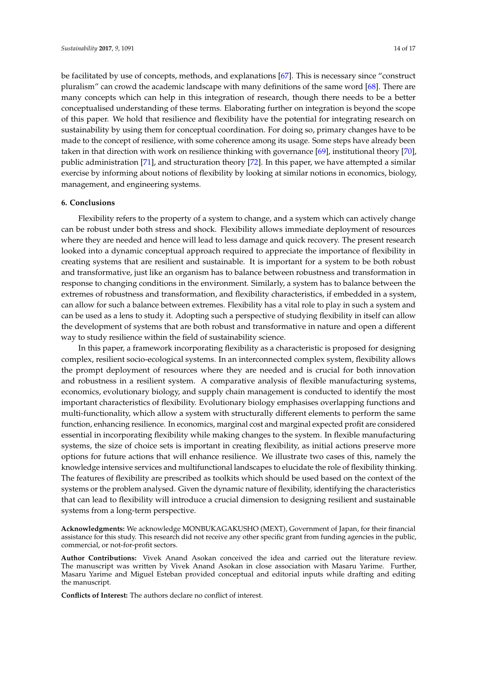be facilitated by use of concepts, methods, and explanations [\[67\]](#page-16-12). This is necessary since "construct pluralism" can crowd the academic landscape with many definitions of the same word [\[68\]](#page-16-13). There are many concepts which can help in this integration of research, though there needs to be a better conceptualised understanding of these terms. Elaborating further on integration is beyond the scope of this paper. We hold that resilience and flexibility have the potential for integrating research on sustainability by using them for conceptual coordination. For doing so, primary changes have to be made to the concept of resilience, with some coherence among its usage. Some steps have already been taken in that direction with work on resilience thinking with governance [\[69\]](#page-16-14), institutional theory [\[70\]](#page-16-15), public administration [\[71\]](#page-16-16), and structuration theory [\[72\]](#page-16-17). In this paper, we have attempted a similar exercise by informing about notions of flexibility by looking at similar notions in economics, biology, management, and engineering systems.

# **6. Conclusions**

Flexibility refers to the property of a system to change, and a system which can actively change can be robust under both stress and shock. Flexibility allows immediate deployment of resources where they are needed and hence will lead to less damage and quick recovery. The present research looked into a dynamic conceptual approach required to appreciate the importance of flexibility in creating systems that are resilient and sustainable. It is important for a system to be both robust and transformative, just like an organism has to balance between robustness and transformation in response to changing conditions in the environment. Similarly, a system has to balance between the extremes of robustness and transformation, and flexibility characteristics, if embedded in a system, can allow for such a balance between extremes. Flexibility has a vital role to play in such a system and can be used as a lens to study it. Adopting such a perspective of studying flexibility in itself can allow the development of systems that are both robust and transformative in nature and open a different way to study resilience within the field of sustainability science.

In this paper, a framework incorporating flexibility as a characteristic is proposed for designing complex, resilient socio-ecological systems. In an interconnected complex system, flexibility allows the prompt deployment of resources where they are needed and is crucial for both innovation and robustness in a resilient system. A comparative analysis of flexible manufacturing systems, economics, evolutionary biology, and supply chain management is conducted to identify the most important characteristics of flexibility. Evolutionary biology emphasises overlapping functions and multi-functionality, which allow a system with structurally different elements to perform the same function, enhancing resilience. In economics, marginal cost and marginal expected profit are considered essential in incorporating flexibility while making changes to the system. In flexible manufacturing systems, the size of choice sets is important in creating flexibility, as initial actions preserve more options for future actions that will enhance resilience. We illustrate two cases of this, namely the knowledge intensive services and multifunctional landscapes to elucidate the role of flexibility thinking. The features of flexibility are prescribed as toolkits which should be used based on the context of the systems or the problem analysed. Given the dynamic nature of flexibility, identifying the characteristics that can lead to flexibility will introduce a crucial dimension to designing resilient and sustainable systems from a long-term perspective.

**Acknowledgments:** We acknowledge MONBUKAGAKUSHO (MEXT), Government of Japan, for their financial assistance for this study. This research did not receive any other specific grant from funding agencies in the public, commercial, or not-for-profit sectors.

**Author Contributions:** Vivek Anand Asokan conceived the idea and carried out the literature review. The manuscript was written by Vivek Anand Asokan in close association with Masaru Yarime. Further, Masaru Yarime and Miguel Esteban provided conceptual and editorial inputs while drafting and editing the manuscript.

**Conflicts of Interest:** The authors declare no conflict of interest.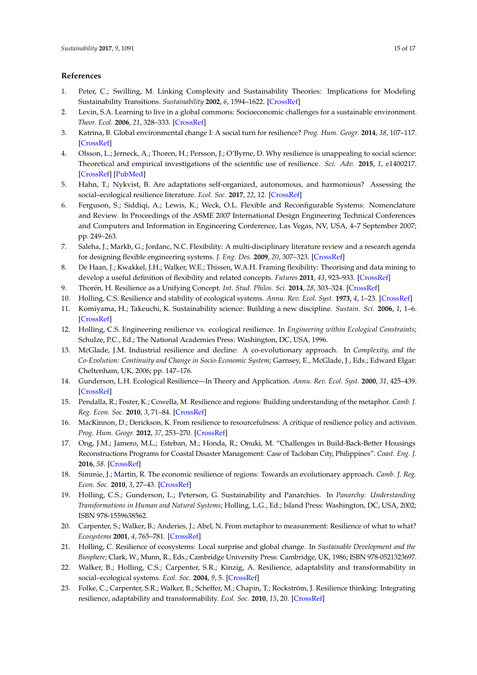# **References**

- <span id="page-14-0"></span>1. Peter, C.; Swilling, M. Linking Complexity and Sustainability Theories: Implications for Modeling Sustainability Transitions. *Sustainability* **2002**, *6*, 1594–1622. [\[CrossRef\]](http://dx.doi.org/10.3390/su6031594)
- <span id="page-14-1"></span>2. Levin, S.A. Learning to live in a global commons: Socioeconomic challenges for a sustainable environment. *Theor. Ecol.* **2006**, *21*, 328–333. [\[CrossRef\]](http://dx.doi.org/10.1007/s11284-006-0162-1)
- <span id="page-14-2"></span>3. Katrina, B. Global environmental change I: A social turn for resilience? *Prog. Hum. Geogr.* **2014**, *38*, 107–117. [\[CrossRef\]](http://dx.doi.org/10.1177/0309132513498837)
- <span id="page-14-3"></span>4. Olsson, L.; Jerneck, A.; Thoren, H.; Persson, J.; O'Byrne, D. Why resilience is unappealing to social science: Theoretical and empirical investigations of the scientific use of resilience. *Sci. Adv.* **2015**, *1*, e1400217. [\[CrossRef\]](http://dx.doi.org/10.1126/sciadv.1400217) [\[PubMed\]](http://www.ncbi.nlm.nih.gov/pubmed/26601176)
- <span id="page-14-4"></span>5. Hahn, T.; Nykvist, B. Are adaptations self-organized, autonomous, and harmonious? Assessing the social–ecological resilience literature. *Ecol. Soc.* **2017**, *22*, 12. [\[CrossRef\]](http://dx.doi.org/10.5751/ES-09026-220112)
- <span id="page-14-5"></span>6. Ferguson, S.; Siddiqi, A.; Lewis, K.; Weck, O.L. Flexible and Reconfigurable Systems: Nomenclature and Review. In Proceedings of the ASME 2007 International Design Engineering Technical Conferences and Computers and Information in Engineering Conference, Las Vegas, NV, USA, 4–7 September 2007; pp. 249–263.
- <span id="page-14-6"></span>7. Saleha, J.; Markb, G.; Jordanc, N.C. Flexibility: A multi-disciplinary literature review and a research agenda for designing flexible engineering systems. *J. Eng. Des.* **2009**, *20*, 307–323. [\[CrossRef\]](http://dx.doi.org/10.1080/09544820701870813)
- <span id="page-14-7"></span>8. De Haan, J.; Kwakkel, J.H.; Walker, W.E.; Thissen, W.A.H. Framing flexibility: Theorising and data mining to develop a useful definition of flexibility and related concepts. *Futures* **2011**, *43*, 923–933. [\[CrossRef\]](http://dx.doi.org/10.1016/j.futures.2011.06.002)
- <span id="page-14-8"></span>9. Thorén, H. Resilience as a Unifying Concept. *Int. Stud. Philos. Sci.* **2014**, *28*, 303–324. [\[CrossRef\]](http://dx.doi.org/10.1080/02698595.2014.953343)
- <span id="page-14-9"></span>10. Holling, C.S. Resilience and stability of ecological systems. *Annu. Rev. Ecol. Syst.* **1973**, *4*, 1–23. [\[CrossRef\]](http://dx.doi.org/10.1146/annurev.es.04.110173.000245)
- <span id="page-14-10"></span>11. Komiyama, H.; Takeuchi, K. Sustainability science: Building a new discipline. *Sustain. Sci.* **2006**, *1*, 1–6. [\[CrossRef\]](http://dx.doi.org/10.1007/s11625-006-0007-4)
- <span id="page-14-11"></span>12. Holling, C.S. Engineering resilience vs. ecological resilience. In *Engineering within Ecological Constraints*; Schulze, P.C., Ed.; The National Academies Press: Washington, DC, USA, 1996.
- <span id="page-14-12"></span>13. McGlade, J.M. Industrial resilience and decline: A co-evolutionary approach. In *Complexity, and the Co-Evolution: Continuity and Change in Socio-Economic System*; Garnsey, E., McGlade, J., Eds.; Edward Elgar: Cheltenham, UK, 2006; pp. 147–176.
- <span id="page-14-13"></span>14. Gunderson, L.H. Ecological Resilience—In Theory and Application. *Annu. Rev. Ecol. Syst.* **2000**, *31*, 425–439. [\[CrossRef\]](http://dx.doi.org/10.1146/annurev.ecolsys.31.1.425)
- <span id="page-14-14"></span>15. Pendalla, R.; Foster, K.; Cowella, M. Resilience and regions: Building understanding of the metaphor. *Camb. J. Reg. Econ. Soc.* **2010**, *3*, 71–84. [\[CrossRef\]](http://dx.doi.org/10.1093/cjres/rsp028)
- <span id="page-14-15"></span>16. MacKinnon, D.; Derickson, K. From resilience to resourcefulness: A critique of resilience policy and activism. *Prog. Hum. Geogr.* **2012**, *37*, 253–270. [\[CrossRef\]](http://dx.doi.org/10.1177/0309132512454775)
- <span id="page-14-16"></span>17. Ong, J.M.; Jamero, M.L.; Esteban, M.; Honda, R.; Onuki, M. "Challenges in Build-Back-Better Housings Reconstructions Programs for Coastal Disaster Management: Case of Tacloban City, Philippines". *Coast. Eng. J.* **2016**, *58*. [\[CrossRef\]](http://dx.doi.org/10.1142/S0578563416400106)
- <span id="page-14-17"></span>18. Simmie, J.; Martin, R. The economic resilience of regions: Towards an evolutionary approach. *Camb. J. Reg. Econ. Soc.* **2010**, *3*, 27–43. [\[CrossRef\]](http://dx.doi.org/10.1093/cjres/rsp029)
- <span id="page-14-18"></span>19. Holling, C.S.; Gunderson, L.; Peterson, G. Sustainability and Panarchies. In *Panarchy: Understanding Transformations in Human and Natural Systems*; Holling, L.G., Ed.; Island Press: Washington, DC, USA, 2002; ISBN 978-1559638562.
- <span id="page-14-19"></span>20. Carpenter, S.; Walker, B.; Anderies, J.; Abel, N. From metaphor to measurement: Resilience of what to what? *Ecosystems* **2001**, *4*, 765–781. [\[CrossRef\]](http://dx.doi.org/10.1007/s10021-001-0045-9)
- <span id="page-14-20"></span>21. Holling, C. Resilience of ecosystems: Local surprise and global change. In *Sustainable Development and the Biosphere*; Clark, W., Munn, R., Eds.; Cambridge University Press: Cambridge, UK, 1986; ISBN 978-0521323697.
- <span id="page-14-21"></span>22. Walker, B.; Holling, C.S.; Carpenter, S.R.; Kinzig, A. Resilience, adaptability and transformability in social–ecological systems. *Ecol. Soc.* **2004**, *9*, 5. [\[CrossRef\]](http://dx.doi.org/10.5751/ES-00650-090205)
- <span id="page-14-22"></span>23. Folke, C.; Carpenter, S.R.; Walker, B.; Scheffer, M.; Chapin, T.; Rockström, J. Resilience thinking: Integrating resilience, adaptability and transformability. *Ecol. Soc.* **2010**, *15*, 20. [\[CrossRef\]](http://dx.doi.org/10.5751/ES-03610-150420)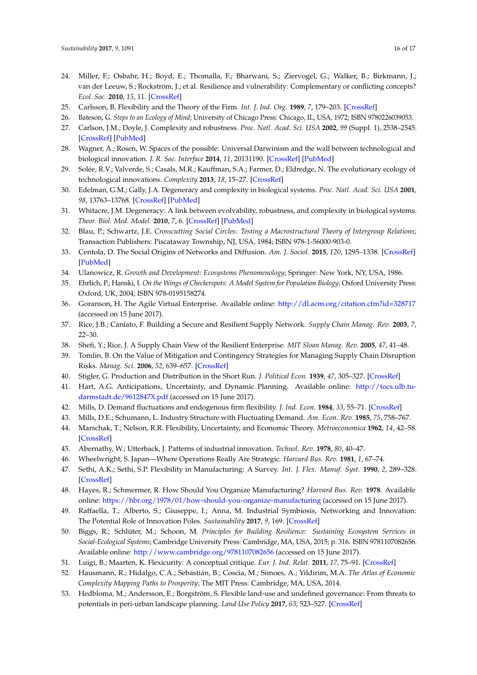- <span id="page-15-0"></span>24. Miller, F.; Osbahr, H.; Boyd, E.; Thomalla, F.; Bharwani, S.; Ziervogel, G.; Walker, B.; Birkmann, J.; van der Leeuw, S.; Rockström, J.; et al. Resilience and vulnerability: Complementary or conflicting concepts? *Ecol. Soc.* **2010**, *15*, 11. [\[CrossRef\]](http://dx.doi.org/10.5751/ES-03378-150311)
- <span id="page-15-1"></span>25. Carlsson, B. Flexibility and the Theory of the Firm. *Int. J. Ind. Org.* **1989**, *7*, 179–203. [\[CrossRef\]](http://dx.doi.org/10.1016/0167-7187(89)90018-0)
- <span id="page-15-2"></span>26. Bateson, G. *Steps to an Ecology of Mind*; University of Chicago Press: Chicago, IL, USA, 1972; ISBN 9780226039053.
- <span id="page-15-3"></span>27. Carlson, J.M.; Doyle, J. Complexity and robustness. *Proc. Natl. Acad. Sci. USA* **2002**, *99* (Suppl. 1), 2538–2545. [\[CrossRef\]](http://dx.doi.org/10.1073/pnas.012582499) [\[PubMed\]](http://www.ncbi.nlm.nih.gov/pubmed/11875207)
- <span id="page-15-4"></span>28. Wagner, A.; Rosen, W. Spaces of the possible: Universal Darwinism and the wall between technological and biological innovation. *J. R. Soc. Interface* **2014**, *11*, 20131190. [\[CrossRef\]](http://dx.doi.org/10.1098/rsif.2013.1190) [\[PubMed\]](http://www.ncbi.nlm.nih.gov/pubmed/24850903)
- <span id="page-15-5"></span>29. Solée, R.V.; Valverde, S.; Casals, M.R.; Kauffman, S.A.; Farmer, D.; Eldredge, N. The evolutionary ecology of technological innovations. *Complexity* **2013**, *18*, 15–27. [\[CrossRef\]](http://dx.doi.org/10.1002/cplx.21436)
- <span id="page-15-6"></span>30. Edelman, G.M.; Gally, J.A. Degeneracy and complexity in biological systems. *Proc. Natl. Acad. Sci. USA* **2001**, *98*, 13763–13768. [\[CrossRef\]](http://dx.doi.org/10.1073/pnas.231499798) [\[PubMed\]](http://www.ncbi.nlm.nih.gov/pubmed/11698650)
- <span id="page-15-7"></span>31. Whitacre, J.M. Degeneracy: A link between evolvability, robustness, and complexity in biological systems. *Theor. Biol. Med. Model.* **2010**, *7*, 6. [\[CrossRef\]](http://dx.doi.org/10.1186/1742-4682-7-6) [\[PubMed\]](http://www.ncbi.nlm.nih.gov/pubmed/20167097)
- <span id="page-15-8"></span>32. Blau, P.; Schwartz, J.E. *Crosscutting Social Circles: Testing a Macrostructural Theory of Intergroup Relations*; Transaction Publishers: Piscataway Township, NJ, USA, 1984; ISBN 978-1-56000-903-0.
- <span id="page-15-9"></span>33. Centola, D. The Social Origins of Networks and Diffusion. *Am. J. Sociol.* **2015**, *120*, 1295–1338. [\[CrossRef\]](http://dx.doi.org/10.1086/681275) [\[PubMed\]](http://www.ncbi.nlm.nih.gov/pubmed/26421341)
- <span id="page-15-10"></span>34. Ulanowicz, R. *Growth and Development: Ecosystems Phenomenology*; Springer: New York, NY, USA, 1986.
- <span id="page-15-11"></span>35. Ehrlich, P.; Hanski, I. *On the Wings of Checkerspots: A Model System for Population Biology*; Oxford University Press: Oxford, UK, 2004; ISBN 978-0195158274.
- <span id="page-15-12"></span>36. Goranson, H. The Agile Virtual Enterprise. Available online: <http://dl.acm.org/citation.cfm?id=328717> (accessed on 15 June 2017).
- <span id="page-15-13"></span>37. Rice, J.B.; Caniato, F. Building a Secure and Resilient Supply Network. *Supply Chain Manag. Rev.* **2003**, *7*, 22–30.
- <span id="page-15-14"></span>38. Shefi, Y.; Rice, J. A Supply Chain View of the Resilient Enterprise. *MIT Sloan Manag. Rev.* **2005**, *47*, 41–48.
- <span id="page-15-15"></span>39. Tomlin, B. On the Value of Mitigation and Contingency Strategies for Managing Supply Chain Disruption Risks. *Manag. Sci.* **2006**, *52*, 639–657. [\[CrossRef\]](http://dx.doi.org/10.1287/mnsc.1060.0515)
- <span id="page-15-16"></span>40. Stigler, G. Production and Distribution in the Short Run. *J. Political Econ.* **1939**, *47*, 305–327. [\[CrossRef\]](http://dx.doi.org/10.1086/255387)
- <span id="page-15-17"></span>41. Hart, A.G. Anticipations, Uncertainty, and Dynamic Planning. Available online: [http://tocs.ulb.tu](http://tocs.ulb.tu-darmstadt.de/9612847X.pdf)[darmstadt.de/9612847X.pdf](http://tocs.ulb.tu-darmstadt.de/9612847X.pdf) (accessed on 15 June 2017).
- <span id="page-15-18"></span>42. Mills, D. Demand fluctuations and endogenous firm flexibility. *J. Ind. Econ.* **1984**, *33*, 55–71. [\[CrossRef\]](http://dx.doi.org/10.2307/2098424)
- <span id="page-15-19"></span>43. Mills, D.E.; Schumann, L. Industry Structure with Fluctuating Demand. *Am. Econ. Rev.* **1985**, *75*, 758–767.
- <span id="page-15-20"></span>44. Marschak, T.; Nelson, R.R. Flexibility, Uncertainty, and Economic Theory. *Metroeconomica* **1962**, *14*, 42–58. [\[CrossRef\]](http://dx.doi.org/10.1111/j.1467-999X.1962.tb00293.x)
- <span id="page-15-21"></span>45. Abernathy, W.; Utterback, J. Patterns of industrial innovation. *Technol. Rev.* **1978**, *80*, 40–47.
- <span id="page-15-22"></span>46. Wheelwright, S. Japan—Where Operations Really Are Strategic. *Harvard Bus. Rev.* **1981**, *1*, 67–74.
- <span id="page-15-23"></span>47. Sethi, A.K.; Sethi, S.P. Flexibility in Manufacturing: A Survey. *Int. J. Flex. Manuf. Syst.* **1990**, *2*, 289–328. [\[CrossRef\]](http://dx.doi.org/10.1007/BF00186471)
- <span id="page-15-24"></span>48. Hayes, R.; Schmermer, R. How Should You Organize Manufacturing? *Harvard Bus. Rev.* **1978**. Available online: <https://hbr.org/1978/01/how-should-you-organize-manufacturing> (accessed on 15 June 2017).
- <span id="page-15-25"></span>49. Raffaella, T.; Alberto, S.; Giuseppe, I.; Anna, M. Industrial Symbiosis, Networking and Innovation: The Potential Role of Innovation Poles. *Sustainability* **2017**, *9*, 169. [\[CrossRef\]](http://dx.doi.org/10.3390/su9020169)
- <span id="page-15-26"></span>50. Biggs, R.; Schlüter, M.; Schoon, M. *Principles for Building Resilience: Sustaining Ecosystem Services in Social-Ecological Systems*; Cambridge University Press: Cambridge, MA, USA, 2015; p. 316. ISBN 9781107082656. Available online: <http://www.cambridge.org/9781107082656> (accessed on 15 June 2017).
- <span id="page-15-27"></span>51. Luigi, B.; Maarten, K. Flexicurity: A conceptual critique. *Eur. J. Ind. Relat.* **2011**, *17*, 75–91. [\[CrossRef\]](http://dx.doi.org/10.1177/0959680110393189)
- <span id="page-15-28"></span>52. Hausmann, R.; Hidalgo, C.A.; Sebastián, B.; Coscia, M.; Simoes, A.; Yildirim, M.A. *The Atlas of Economic Complexity Mapping Paths to Prosperity*; The MIT Press: Cambridge, MA, USA, 2014.
- <span id="page-15-29"></span>53. Hedbloma, M.; Andersson, E.; Borgström, S. Flexible land-use and undefined governance: From threats to potentials in peri-urban landscape planning. *Land Use Policy* **2017**, *63*, 523–527. [\[CrossRef\]](http://dx.doi.org/10.1016/j.landusepol.2017.02.022)